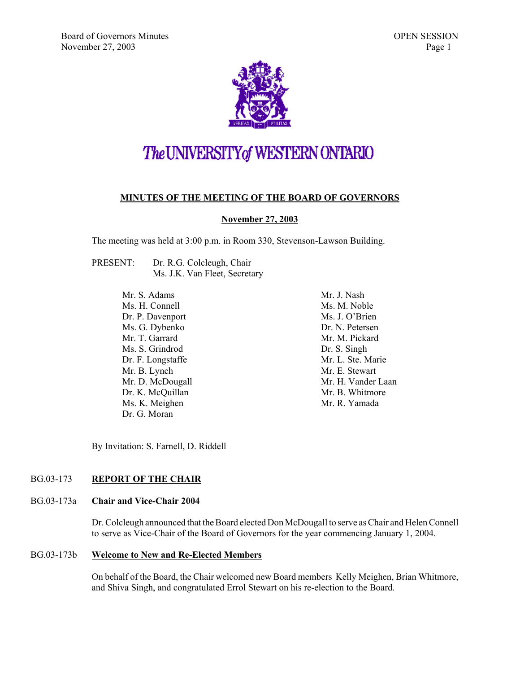

# The UNIVERSITY of WESTERN ONTARIO

#### **MINUTES OF THE MEETING OF THE BOARD OF GOVERNORS**

#### **November 27, 2003**

The meeting was held at 3:00 p.m. in Room 330, Stevenson-Lawson Building.

PRESENT: Dr. R.G. Colcleugh, Chair Ms. J.K. Van Fleet, Secretary

> Mr. S. Adams Ms. H. Connell Dr. P. Davenport Ms. G. Dybenko Mr. T. Garrard Ms. S. Grindrod Dr. F. Longstaffe Mr. B. Lynch Mr. D. McDougall Dr. K. McQuillan Ms. K. Meighen Dr. G. Moran

Mr. J. Nash Ms. M. Noble Ms. J. O'Brien Dr. N. Petersen Mr. M. Pickard Dr. S. Singh Mr. L. Ste. Marie Mr. E. Stewart Mr. H. Vander Laan Mr. B. Whitmore Mr. R. Yamada

By Invitation: S. Farnell, D. Riddell

#### BG.03-173 **REPORT OF THE CHAIR**

#### BG.03-173a **Chair and Vice-Chair 2004**

Dr. Colcleugh announced that the Board elected Don McDougall to serve as Chair and Helen Connell to serve as Vice-Chair of the Board of Governors for the year commencing January 1, 2004.

#### BG.03-173b **Welcome to New and Re-Elected Members**

On behalf of the Board, the Chair welcomed new Board members Kelly Meighen, Brian Whitmore, and Shiva Singh, and congratulated Errol Stewart on his re-election to the Board.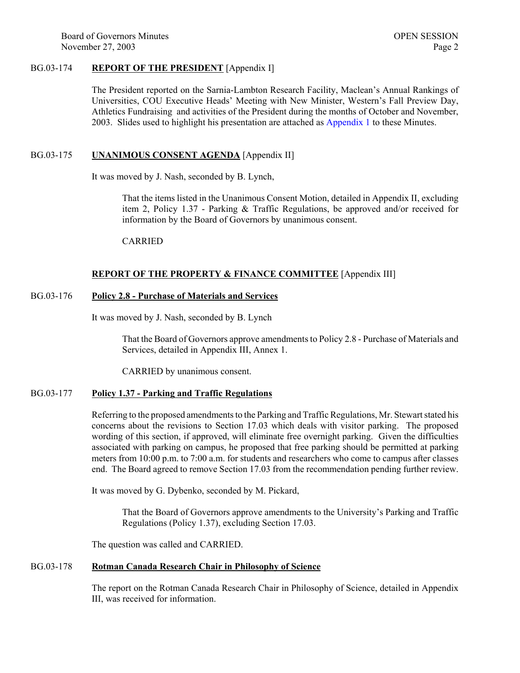Board of Governors Minutes **OPEN SESSION** November 27, 2003 Page 2

#### BG.03-174 **REPORT OF THE PRESIDENT** [Appendix I]

The President reported on the Sarnia-Lambton Research Facility, Maclean's Annual Rankings of Universities, COU Executive Heads' Meeting with New Minister, Western's Fall Preview Day, Athletics Fundraising and activities of the President during the months of October and November, 2003. Slides used to highlight his presentation are attached as [Appendix 1 t](#page-7-0)o these Minutes.

#### BG.03-175 **UNANIMOUS CONSENT AGENDA** [Appendix II]

It was moved by J. Nash, seconded by B. Lynch,

That the items listed in the Unanimous Consent Motion, detailed in Appendix II, excluding item 2, Policy 1.37 - Parking & Traffic Regulations, be approved and/or received for information by the Board of Governors by unanimous consent.

CARRIED

#### **REPORT OF THE PROPERTY & FINANCE COMMITTEE** [Appendix III]

#### BG.03-176 **Policy 2.8 - Purchase of Materials and Services**

It was moved by J. Nash, seconded by B. Lynch

That the Board of Governors approve amendments to Policy 2.8 - Purchase of Materials and Services, detailed in Appendix III, Annex 1.

CARRIED by unanimous consent.

#### BG.03-177 **Policy 1.37 - Parking and Traffic Regulations**

Referring to the proposed amendments to the Parking and Traffic Regulations, Mr. Stewart stated his concerns about the revisions to Section 17.03 which deals with visitor parking. The proposed wording of this section, if approved, will eliminate free overnight parking. Given the difficulties associated with parking on campus, he proposed that free parking should be permitted at parking meters from 10:00 p.m. to 7:00 a.m. for students and researchers who come to campus after classes end. The Board agreed to remove Section 17.03 from the recommendation pending further review.

It was moved by G. Dybenko, seconded by M. Pickard,

That the Board of Governors approve amendments to the University's Parking and Traffic Regulations (Policy 1.37), excluding Section 17.03.

The question was called and CARRIED.

#### BG.03-178 **Rotman Canada Research Chair in Philosophy of Science**

The report on the Rotman Canada Research Chair in Philosophy of Science, detailed in Appendix III, was received for information.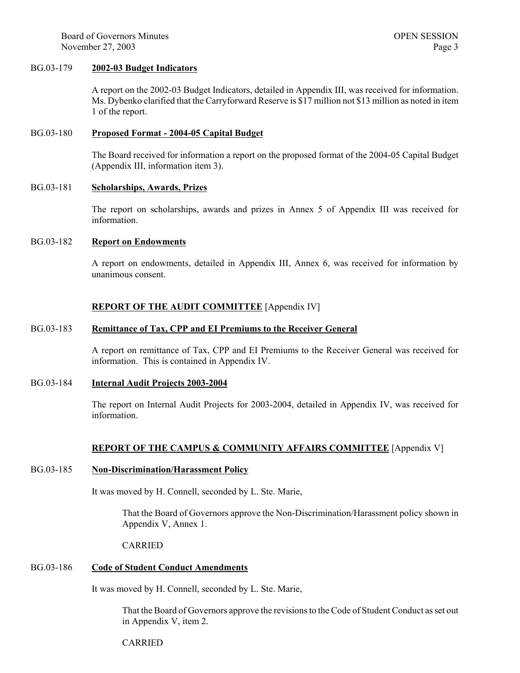Board of Governors Minutes **OPEN SESSION** November 27, 2003 Page 3

#### BG.03-179 **2002-03 Budget Indicators**

A report on the 2002-03 Budget Indicators, detailed in Appendix III, was received for information. Ms. Dybenko clarified that the Carryforward Reserve is \$17 million not \$13 million as noted in item 1 of the report.

#### BG.03-180 **Proposed Format - 2004-05 Capital Budget**

The Board received for information a report on the proposed format of the 2004-05 Capital Budget (Appendix III, information item 3).

#### BG.03-181 **Scholarships, Awards, Prizes**

The report on scholarships, awards and prizes in Annex 5 of Appendix III was received for information.

#### BG.03-182 **Report on Endowments**

A report on endowments, detailed in Appendix III, Annex 6, was received for information by unanimous consent.

#### **REPORT OF THE AUDIT COMMITTEE** [Appendix IV]

#### BG.03-183 **Remittance of Tax, CPP and EI Premiums to the Receiver General**

A report on remittance of Tax, CPP and EI Premiums to the Receiver General was received for information. This is contained in Appendix IV.

#### BG.03-184 **Internal Audit Projects 2003-2004**

The report on Internal Audit Projects for 2003-2004, detailed in Appendix IV, was received for information.

#### **REPORT OF THE CAMPUS & COMMUNITY AFFAIRS COMMITTEE** [Appendix V]

#### BG.03-185 **Non-Discrimination/Harassment Policy**

It was moved by H. Connell, seconded by L. Ste. Marie,

That the Board of Governors approve the Non-Discrimination/Harassment policy shown in Appendix V, Annex 1.

#### CARRIED

#### BG.03-186 **Code of Student Conduct Amendments**

It was moved by H. Connell, seconded by L. Ste. Marie,

That the Board of Governors approve the revisions to the Code of Student Conduct as set out in Appendix V, item 2.

#### CARRIED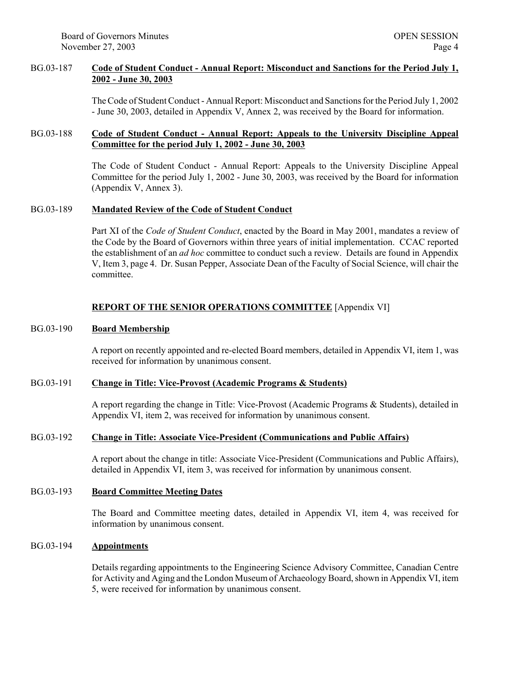Board of Governors Minutes **OPEN SESSION** November 27, 2003 Page 4

#### BG.03-187 **Code of Student Conduct - Annual Report: Misconduct and Sanctions for the Period July 1, 2002 - June 30, 2003**

The Code of Student Conduct - Annual Report: Misconduct and Sanctions for the Period July 1, 2002 - June 30, 2003, detailed in Appendix V, Annex 2, was received by the Board for information.

#### BG.03-188 **Code of Student Conduct - Annual Report: Appeals to the University Discipline Appeal Committee for the period July 1, 2002 - June 30, 2003**

The Code of Student Conduct - Annual Report: Appeals to the University Discipline Appeal Committee for the period July 1, 2002 - June 30, 2003, was received by the Board for information (Appendix V, Annex 3).

#### BG.03-189 **Mandated Review of the Code of Student Conduct**

Part XI of the *Code of Student Conduct*, enacted by the Board in May 2001, mandates a review of the Code by the Board of Governors within three years of initial implementation. CCAC reported the establishment of an *ad hoc* committee to conduct such a review. Details are found in Appendix V, Item 3, page 4. Dr. Susan Pepper, Associate Dean of the Faculty of Social Science, will chair the committee.

#### **REPORT OF THE SENIOR OPERATIONS COMMITTEE** [Appendix VI]

#### BG.03-190 **Board Membership**

A report on recently appointed and re-elected Board members, detailed in Appendix VI, item 1, was received for information by unanimous consent.

#### BG.03-191 **Change in Title: Vice-Provost (Academic Programs & Students)**

A report regarding the change in Title: Vice-Provost (Academic Programs & Students), detailed in Appendix VI, item 2, was received for information by unanimous consent.

#### BG.03-192 **Change in Title: Associate Vice-President (Communications and Public Affairs)**

A report about the change in title: Associate Vice-President (Communications and Public Affairs), detailed in Appendix VI, item 3, was received for information by unanimous consent.

#### BG.03-193 **Board Committee Meeting Dates**

The Board and Committee meeting dates, detailed in Appendix VI, item 4, was received for information by unanimous consent.

#### BG.03-194 **Appointments**

Details regarding appointments to the Engineering Science Advisory Committee, Canadian Centre for Activity and Aging and the London Museum of Archaeology Board, shown in Appendix VI, item 5, were received for information by unanimous consent.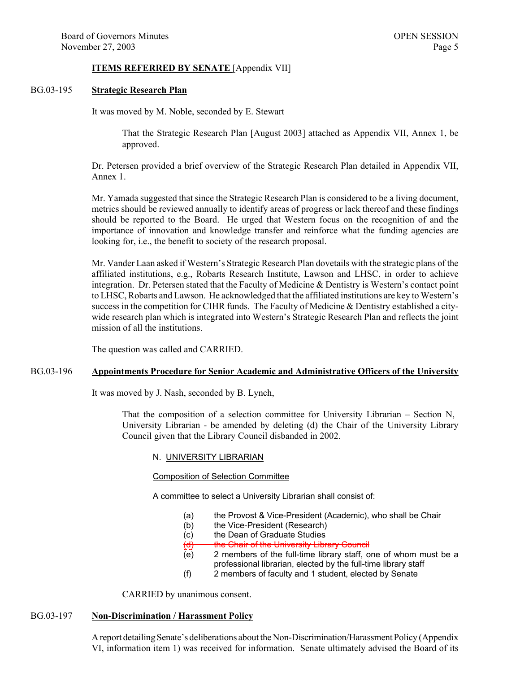#### **ITEMS REFERRED BY SENATE** [Appendix VII]

#### BG.03-195 **Strategic Research Plan**

It was moved by M. Noble, seconded by E. Stewart

That the Strategic Research Plan [August 2003] attached as Appendix VII, Annex 1, be approved.

Dr. Petersen provided a brief overview of the Strategic Research Plan detailed in Appendix VII, Annex 1.

Mr. Yamada suggested that since the Strategic Research Plan is considered to be a living document, metrics should be reviewed annually to identify areas of progress or lack thereof and these findings should be reported to the Board. He urged that Western focus on the recognition of and the importance of innovation and knowledge transfer and reinforce what the funding agencies are looking for, i.e., the benefit to society of the research proposal.

Mr. Vander Laan asked if Western's Strategic Research Plan dovetails with the strategic plans of the affiliated institutions, e.g., Robarts Research Institute, Lawson and LHSC, in order to achieve integration. Dr. Petersen stated that the Faculty of Medicine & Dentistry is Western's contact point to LHSC, Robarts and Lawson. He acknowledged that the affiliated institutions are key to Western's success in the competition for CIHR funds. The Faculty of Medicine & Dentistry established a citywide research plan which is integrated into Western's Strategic Research Plan and reflects the joint mission of all the institutions.

The question was called and CARRIED.

#### BG.03-196 **Appointments Procedure for Senior Academic and Administrative Officers of the University**

It was moved by J. Nash, seconded by B. Lynch,

That the composition of a selection committee for University Librarian – Section N, University Librarian - be amended by deleting (d) the Chair of the University Library Council given that the Library Council disbanded in 2002.

#### N. UNIVERSITY LIBRARIAN

#### Composition of Selection Committee

A committee to select a University Librarian shall consist of:

- (a) the Provost & Vice-President (Academic), who shall be Chair
- (b) the Vice-President (Research)
- (c) the Dean of Graduate Studies
- (d) the Chair of the University Library Council
- (e) 2 members of the full-time library staff, one of whom must be a professional librarian, elected by the full-time library staff
- (f) 2 members of faculty and 1 student, elected by Senate

CARRIED by unanimous consent.

#### BG.03-197 **Non-Discrimination / Harassment Policy**

A report detailing Senate's deliberations about the Non-Discrimination/Harassment Policy (Appendix VI, information item 1) was received for information. Senate ultimately advised the Board of its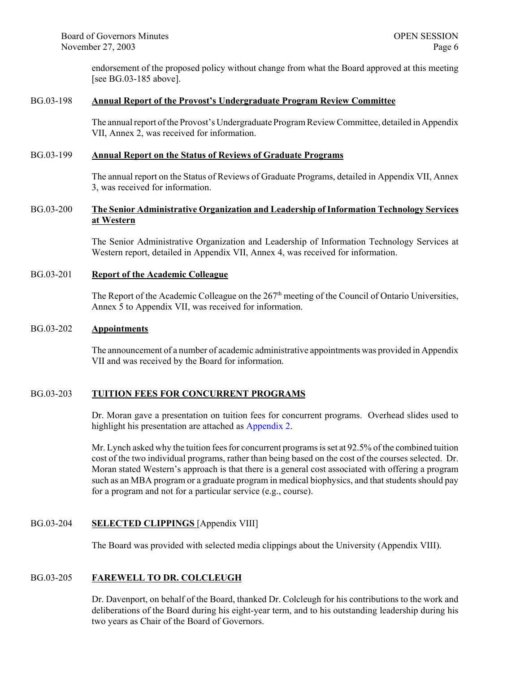endorsement of the proposed policy without change from what the Board approved at this meeting [see BG.03-185 above].

#### BG.03-198 **Annual Report of the Provost's Undergraduate Program Review Committee**

The annual report of the Provost's Undergraduate Program Review Committee, detailed in Appendix VII, Annex 2, was received for information.

#### BG.03-199 **Annual Report on the Status of Reviews of Graduate Programs**

The annual report on the Status of Reviews of Graduate Programs, detailed in Appendix VII, Annex 3, was received for information.

#### BG.03-200 **The Senior Administrative Organization and Leadership of Information Technology Services at Western**

The Senior Administrative Organization and Leadership of Information Technology Services at Western report, detailed in Appendix VII, Annex 4, was received for information.

#### BG.03-201 **Report of the Academic Colleague**

The Report of the Academic Colleague on the 267<sup>th</sup> meeting of the Council of Ontario Universities, Annex 5 to Appendix VII, was received for information.

#### BG.03-202 **Appointments**

The announcement of a number of academic administrative appointments was provided in Appendix VII and was received by the Board for information.

#### BG.03-203 **TUITION FEES FOR CONCURRENT PROGRAMS**

Dr. Moran gave a presentation on tuition fees for concurrent programs. Overhead slides used to highlight his presentation are attached a[s Appendix 2.](#page-9-0) 

Mr. Lynch asked why the tuition fees for concurrent programs is set at 92.5% of the combined tuition cost of the two individual programs, rather than being based on the cost of the courses selected. Dr. Moran stated Western's approach is that there is a general cost associated with offering a program such as an MBA program or a graduate program in medical biophysics, and that students should pay for a program and not for a particular service (e.g., course).

#### BG.03-204 **SELECTED CLIPPINGS** [Appendix VIII]

The Board was provided with selected media clippings about the University (Appendix VIII).

#### BG.03-205 **FAREWELL TO DR. COLCLEUGH**

Dr. Davenport, on behalf of the Board, thanked Dr. Colcleugh for his contributions to the work and deliberations of the Board during his eight-year term, and to his outstanding leadership during his two years as Chair of the Board of Governors.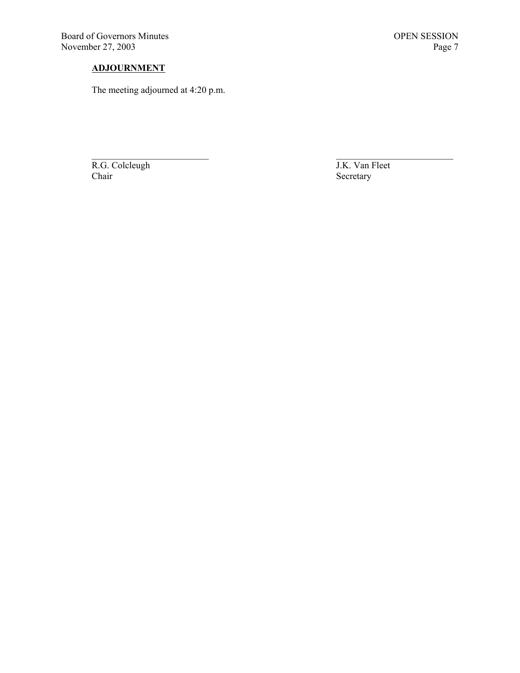Board of Governors Minutes OPEN SESSION<br>November 27, 2003 Page 7 November 27, 2003

### **ADJOURNMENT**

The meeting adjourned at 4:20 p.m.

R.G. Colcleugh J.K. Van Fleet Chair<br>
Chair Secretary

Secretary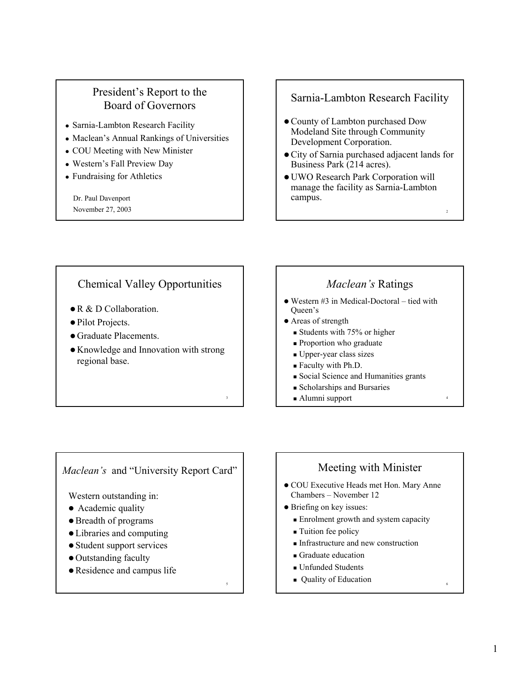# <span id="page-7-0"></span>President's Report to the Board of Governors

- Sarnia-Lambton Research Facility
- Maclean's Annual Rankings of Universities
- COU Meeting with New Minister
- Western's Fall Preview Day
- Fundraising for Athletics

Dr. Paul Davenport November 27, 2003

# Sarnia-Lambton Research Facility

- County of Lambton purchased Dow Modeland Site through Community Development Corporation.
- City of Sarnia purchased adjacent lands for Business Park (214 acres).
- UWO Research Park Corporation will manage the facility as Sarnia-Lambton campus.

# Chemical Valley Opportunities

- $\bullet$  R & D Collaboration
- Pilot Projects.
- Graduate Placements.
- Knowledge and Innovation with strong regional base.

3

5

# *Maclean's* Ratings

- $\bullet$  Western #3 in Medical-Doctoral tied with Queen's
- Areas of strength
	- $\blacksquare$  Students with 75% or higher
	- **Proportion who graduate**
	- Upper-year class sizes
	- Faculty with Ph.D.
	- Social Science and Humanities grants
	- Scholarships and Bursaries
	- Alumni support

*Maclean's* and "University Report Card"

Western outstanding in:

- Academic quality
- Breadth of programs
- Libraries and computing
- Student support services
- Outstanding faculty
- Residence and campus life

# Meeting with Minister

- COU Executive Heads met Hon. Mary Anne Chambers – November 12
- $\bullet$  Briefing on key issues:
	- **Enrolment growth and system capacity**
	- **Tuition fee policy**
	- Infrastructure and new construction
	- Graduate education
	- Unfunded Students
	- **Quality of Education**

4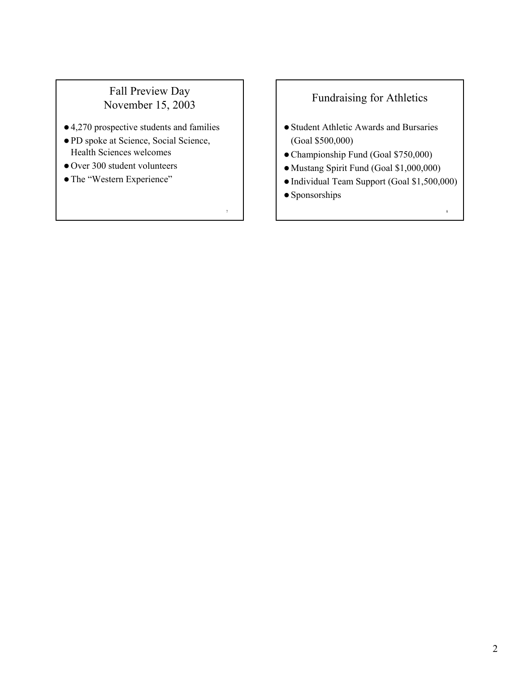# Fall Preview Day November 15, 2003

- $\bullet$  4,270 prospective students and families
- z PD spoke at Science, Social Science, Health Sciences welcomes
- $\bullet$  Over 300 student volunteers
- The "Western Experience"

# Fundraising for Athletics

- Student Athletic Awards and Bursaries (Goal \$500,000)
- z Championship Fund (Goal \$750,000)
- $\bullet$  Mustang Spirit Fund (Goal \$1,000,000)
- $\bullet$  Individual Team Support (Goal \$1,500,000)

8

 $\bullet$  Sponsorships

7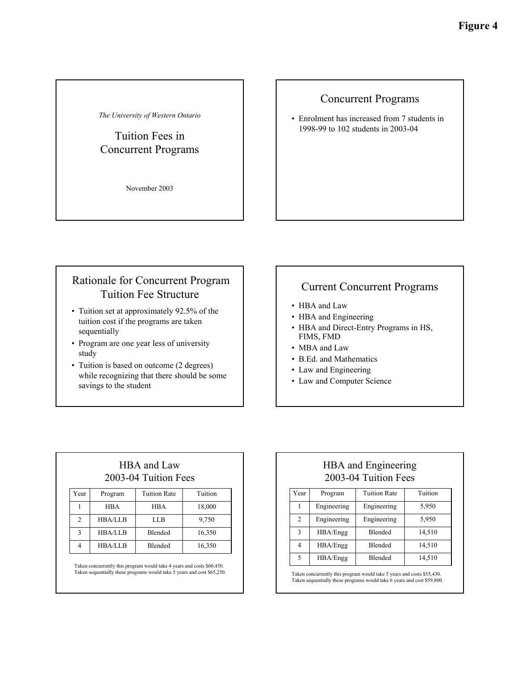<span id="page-9-0"></span>*The University of Western Ontario*

# Tuition Fees in Concurrent Programs

November 2003

### Concurrent Programs

**Figure 4**

• Enrolment has increased from 7 students in 1998-99 to 102 students in 2003-04

# Rationale for Concurrent Program Tuition Fee Structure

- Tuition set at approximately 92.5% of the tuition cost if the programs are taken sequentially
- Program are one year less of university study
- Tuition is based on outcome (2 degrees) while recognizing that there should be some savings to the student

# Current Concurrent Programs

- HBA and Law
- HBA and Engineering
- HBA and Direct-Entry Programs in HS, FIMS, FMD
- MBA and Law
- B.Ed. and Mathematics
- Law and Engineering
- Law and Computer Science

# HBA and Law 2003-04 Tuition Fees

| Year           | Program        | <b>Tuition Rate</b> | Tuition |
|----------------|----------------|---------------------|---------|
|                | <b>HBA</b>     | <b>HBA</b>          | 18,000  |
| $\mathfrak{D}$ | <b>HBA/LLB</b> | LLB                 | 9,750   |
| 3              | <b>HBA/LLB</b> | Blended             | 16,350  |
|                | <b>HBA/LLB</b> | Blended             | 16,350  |

Taken concurrently this program would take 4 years and costs \$60,450. Taken sequentially these programs would take 5 years and cost \$65,250.

# HBA and Engineering 2003-04 Tuition Fees

| Year | Program     | <b>Tuition Rate</b> | Tuition |
|------|-------------|---------------------|---------|
|      | Engineering | Engineering         | 5,950   |
| 2    | Engineering | Engineering         | 5,950   |
| 3    | HBA/Engg    | Blended             | 14,510  |
| 4    | HBA/Engg    | <b>Blended</b>      | 14,510  |
| 5    | HBA/Engg    | Blended             | 14,510  |

Taken concurrently this program would take 5 years and costs \$55,430. Taken sequentially these programs would take 6 years and cost \$59,800.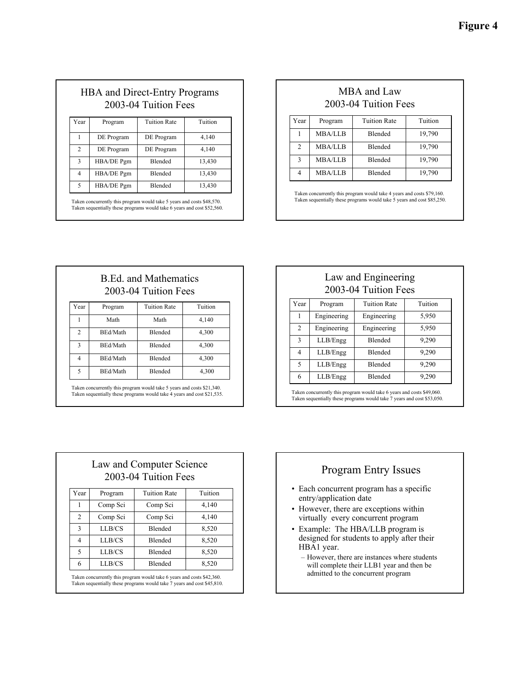| <b>HBA</b> and Direct-Entry Programs |  |
|--------------------------------------|--|
| 2003-04 Tuition Fees                 |  |

| Year           | Program    | <b>Tuition Rate</b> | Tuition |
|----------------|------------|---------------------|---------|
|                | DE Program | DE Program          | 4,140   |
| 2              | DE Program | DE Program          | 4,140   |
| 3              | HBA/DE Pgm | Blended             | 13,430  |
| $\overline{4}$ | HBA/DE Pgm | Blended             | 13,430  |
| 5              | HBA/DE Pgm | Blended             | 13,430  |

Taken concurrently this program would take 5 years and costs \$48,570. Taken sequentially these programs would take 6 years and cost \$52,560.

### MBA and Law 2003-04 Tuition Fees

**Figure 4**

| Year           | Program        | <b>Tuition Rate</b> | Tuition |
|----------------|----------------|---------------------|---------|
|                | <b>MBA/LLB</b> | <b>Blended</b>      | 19,790  |
| $\mathfrak{D}$ | <b>MBA/LLB</b> | <b>Blended</b>      | 19,790  |
| 3              | <b>MBA/LLB</b> | <b>Blended</b>      | 19,790  |
| 4              | <b>MBA/LLB</b> | <b>Blended</b>      | 19,790  |

Taken concurrently this program would take 4 years and costs \$79,160. Taken sequentially these programs would take 5 years and cost \$85,250.

| <b>B.Ed. and Mathematics</b><br>2003-04 Tuition Fees |         |                     |         |
|------------------------------------------------------|---------|---------------------|---------|
| Year                                                 | Program | <b>Tuition Rate</b> | Tuition |
|                                                      |         |                     |         |

|   | Math     | Math    | 4,140 |
|---|----------|---------|-------|
| 2 | BEd/Math | Blended | 4,300 |
| 3 | BEd/Math | Blended | 4,300 |
|   | BEd/Math | Blended | 4,300 |
|   | BEd/Math | Blended | 4,300 |

Taken concurrently this program would take 5 years and costs \$21,340. Taken sequentially these programs would take 4 years and cost \$21,535.

### Law and Engineering 2003-04 Tuition Fees

| Year                        | Program     | <b>Tuition Rate</b> | Tuition |
|-----------------------------|-------------|---------------------|---------|
|                             | Engineering | Engineering         | 5,950   |
| $\mathcal{D}_{\mathcal{L}}$ | Engineering | Engineering         | 5,950   |
| 3                           | LLB/Engg    | <b>Blended</b>      | 9,290   |
| 4                           | LLB/Engg    | <b>Blended</b>      | 9,290   |
| 5                           | LLB/Engg    | Blended             | 9,290   |
| 6                           | LLB/Engg    | Blended             | 9,290   |

Taken concurrently this program would take 6 years and costs \$49,060. Taken sequentially these programs would take 7 years and cost \$53,050.

| Law and Computer Science |
|--------------------------|
| 2003-04 Tuition Fees     |

| Year                     | Program  | <b>Tuition Rate</b> | Tuition |
|--------------------------|----------|---------------------|---------|
|                          | Comp Sci | Comp Sci            | 4,140   |
| $\mathfrak{D}$           | Comp Sci | Comp Sci            | 4,140   |
| 3                        | LLB/CS   | <b>Blended</b>      | 8,520   |
|                          | LLB/CS   | <b>Blended</b>      | 8,520   |
| $\overline{\phantom{0}}$ | LLB/CS   | Blended             | 8,520   |
| 6                        | LLB/CS   | <b>Blended</b>      | 8,520   |

Taken concurrently this program would take 6 years and costs \$42,360. Taken sequentially these programs would take 7 years and cost \$45,810.

# Program Entry Issues

- Each concurrent program has a specific entry/application date
- However, there are exceptions within virtually every concurrent program
- Example: The HBA/LLB program is designed for students to apply after their HBA1 year.
	- However, there are instances where students will complete their LLB1 year and then be admitted to the concurrent program